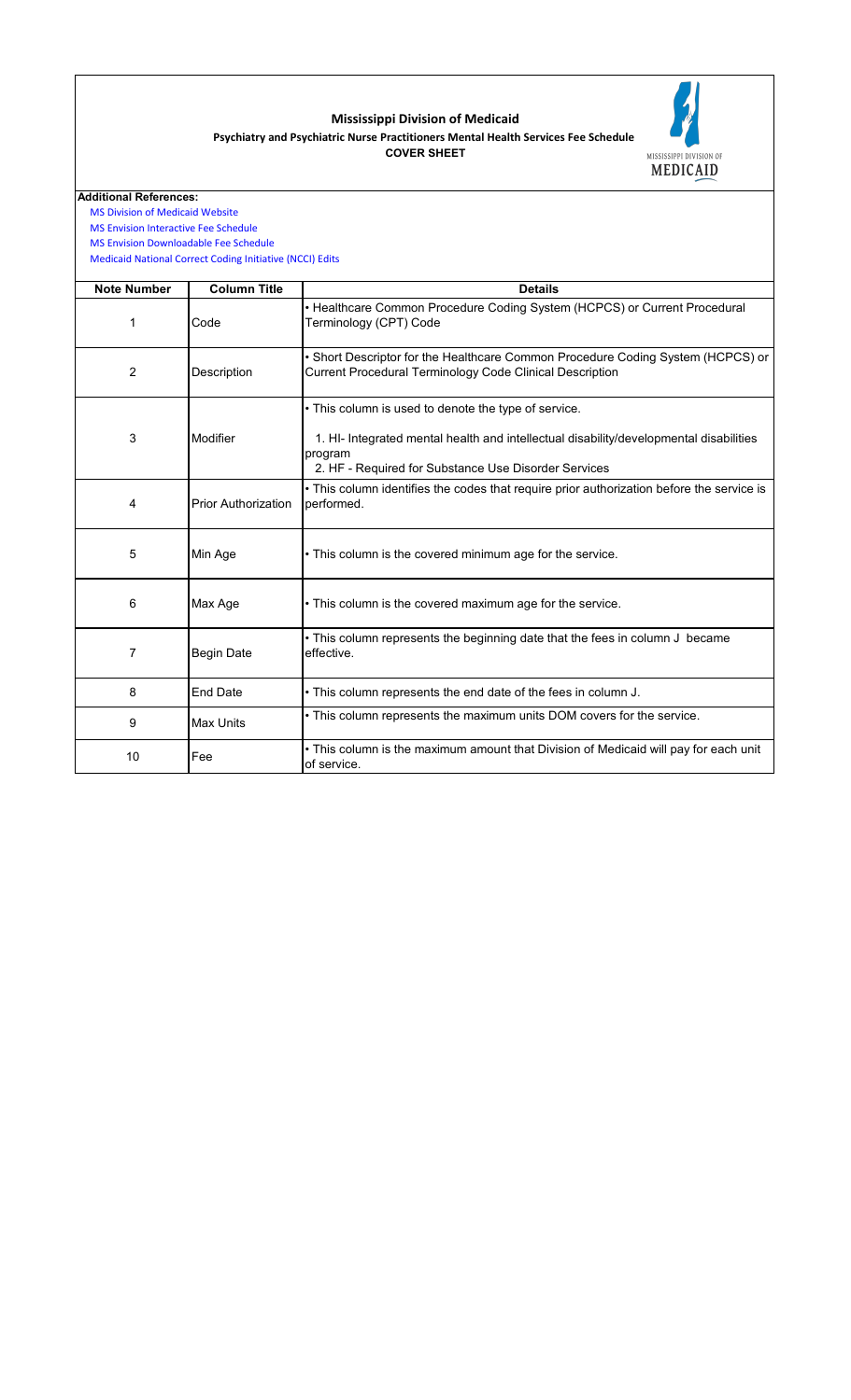| <b>Note Number</b> | <b>Column Title</b>        | <b>Details</b>                                                                                                                                                                                                    |
|--------------------|----------------------------|-------------------------------------------------------------------------------------------------------------------------------------------------------------------------------------------------------------------|
| 1                  | Code                       | • Healthcare Common Procedure Coding System (HCPCS) or Current Procedural<br>Terminology (CPT) Code                                                                                                               |
| $\overline{2}$     | <b>Description</b>         | • Short Descriptor for the Healthcare Common Procedure Coding System (HCPCS) or<br><b>Current Procedural Terminology Code Clinical Description</b>                                                                |
| 3                  | <b>Modifier</b>            | • This column is used to denote the type of service.<br>1. HI- Integrated mental health and intellectual disability/developmental disabilities<br>program<br>2. HF - Required for Substance Use Disorder Services |
| 4                  | <b>Prior Authorization</b> | • This column identifies the codes that require prior authorization before the service is<br>performed.                                                                                                           |
| $5\phantom{1}$     | Min Age                    | • This column is the covered minimum age for the service.                                                                                                                                                         |
| 6                  | Max Age                    | • This column is the covered maximum age for the service.                                                                                                                                                         |
| $\overline{7}$     | <b>Begin Date</b>          | • This column represents the beginning date that the fees in column J became<br>effective.                                                                                                                        |
| 8                  | <b>End Date</b>            | . This column represents the end date of the fees in column J.                                                                                                                                                    |
| 9                  | <b>Max Units</b>           | • This column represents the maximum units DOM covers for the service.                                                                                                                                            |
| 10                 | Fee                        | • This column is the maximum amount that Division of Medicaid will pay for each unit<br>of service.                                                                                                               |

 [Medicaid National Cor](https://www.medicaid.gov/medicaid/program-integrity/national-correct-coding-initiative/medicaid-ncci-edit-files/index.html)rect Coding Initiative (NCCI) Edits

## **Mississippi Division of Medicaid**



## **Additional References:**

 [MS Division of Medica](https://medicaid.ms.gov/)id Website

 [MS Envision Interactiv](https://www.ms-medicaid.com/msenvision/feeScheduleInquiry.do)e Fee Schedule

 [MS Envision Download](https://www.ms-medicaid.com/msenvision/AMA_ADA_licenseAgreement.do?strUrl=feeScheduleInquiry)able Fee Schedule